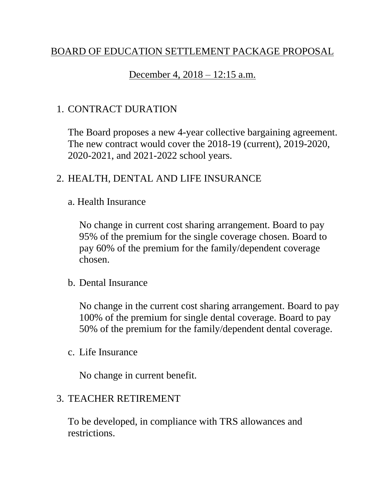# BOARD OF EDUCATION SETTLEMENT PACKAGE PROPOSAL

#### December 4, 2018 – 12:15 a.m.

## 1. CONTRACT DURATION

The Board proposes a new 4-year collective bargaining agreement. The new contract would cover the 2018-19 (current), 2019-2020, 2020-2021, and 2021-2022 school years.

## 2. HEALTH, DENTAL AND LIFE INSURANCE

#### a. Health Insurance

No change in current cost sharing arrangement. Board to pay 95% of the premium for the single coverage chosen. Board to pay 60% of the premium for the family/dependent coverage chosen.

#### b. Dental Insurance

No change in the current cost sharing arrangement. Board to pay 100% of the premium for single dental coverage. Board to pay 50% of the premium for the family/dependent dental coverage.

#### c. Life Insurance

No change in current benefit.

#### 3. TEACHER RETIREMENT

To be developed, in compliance with TRS allowances and restrictions.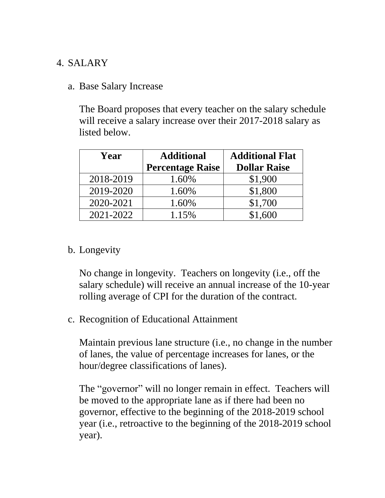## 4. SALARY

a. Base Salary Increase

The Board proposes that every teacher on the salary schedule will receive a salary increase over their 2017-2018 salary as listed below.

| Year      | <b>Additional</b>       | <b>Additional Flat</b> |  |  |
|-----------|-------------------------|------------------------|--|--|
|           | <b>Percentage Raise</b> | <b>Dollar Raise</b>    |  |  |
| 2018-2019 | 1.60%                   | \$1,900                |  |  |
| 2019-2020 | 1.60%                   | \$1,800                |  |  |
| 2020-2021 | 1.60%                   | \$1,700                |  |  |
| 2021-2022 | 1.15%                   | \$1,600                |  |  |

b. Longevity

No change in longevity. Teachers on longevity (i.e., off the salary schedule) will receive an annual increase of the 10-year rolling average of CPI for the duration of the contract.

c. Recognition of Educational Attainment

Maintain previous lane structure (i.e., no change in the number of lanes, the value of percentage increases for lanes, or the hour/degree classifications of lanes).

The "governor" will no longer remain in effect. Teachers will be moved to the appropriate lane as if there had been no governor, effective to the beginning of the 2018-2019 school year (i.e., retroactive to the beginning of the 2018-2019 school year).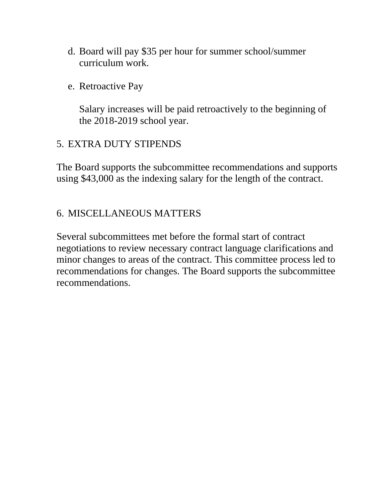- d. Board will pay \$35 per hour for summer school/summer curriculum work.
- e. Retroactive Pay

Salary increases will be paid retroactively to the beginning of the 2018-2019 school year.

## 5. EXTRA DUTY STIPENDS

The Board supports the subcommittee recommendations and supports using \$43,000 as the indexing salary for the length of the contract.

## 6. MISCELLANEOUS MATTERS

Several subcommittees met before the formal start of contract negotiations to review necessary contract language clarifications and minor changes to areas of the contract. This committee process led to recommendations for changes. The Board supports the subcommittee recommendations.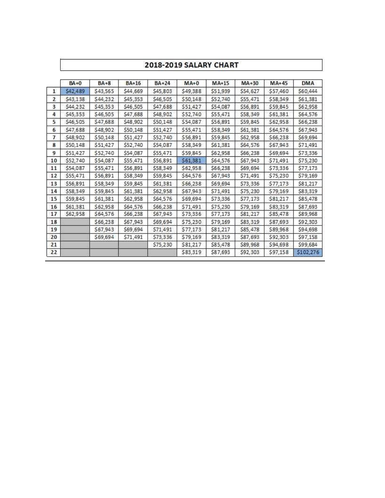|                | 2018-2019 SALARY CHART |          |              |              |          |          |          |          |            |  |
|----------------|------------------------|----------|--------------|--------------|----------|----------|----------|----------|------------|--|
|                | $BA + 0$               | $BA + 8$ | <b>BA+16</b> | <b>BA+24</b> | $MA+0$   | $MA+15$  | MA+30    | $MA+45$  | <b>DMA</b> |  |
| 1              | \$42,489               | \$43,565 | \$44,669     | \$45,803     | \$49,388 | \$51,939 | \$54,627 | \$57,460 | \$60,444   |  |
| $\overline{2}$ | \$43,138               | \$44,232 | \$45,353     | \$46,505     | \$50,148 | \$52,740 | \$55,471 | \$58,349 | \$61,381   |  |
| 3              | \$44,232               | \$45,353 | \$46,505     | \$47,688     | \$51,427 | \$54,087 | \$56,891 | \$59,845 | \$62,958   |  |
| 4              | \$45,353               | \$46,505 | \$47,688     | \$48,902     | \$52,740 | \$55,471 | \$58,349 | \$61,381 | \$64,576   |  |
| 5              | \$46,505               | \$47,688 | \$48,902     | \$50,148     | \$54,087 | \$56,891 | \$59,845 | \$62,958 | \$66,238   |  |
| 6              | \$47,688               | \$48,902 | \$50,148     | \$51,427     | \$55,471 | \$58,349 | \$61,381 | \$64,576 | \$67,943   |  |
| 7              | \$48,902               | \$50,148 | \$51,427     | \$52,740     | \$56,891 | \$59,845 | \$62,958 | \$66,238 | \$69,694   |  |
| 8              | \$50,148               | \$51,427 | \$52,740     | \$54,087     | \$58,349 | \$61,381 | \$64,576 | \$67,943 | \$71,491   |  |
| 9              | \$51,427               | \$52,740 | \$54,087     | \$55,471     | \$59,845 | \$62,958 | \$66,238 | \$69,694 | \$73,336   |  |
| 10             | \$52,740               | \$54,087 | \$55,471     | \$56,891     | \$61,381 | \$64,576 | \$67,943 | \$71,491 | \$75,230   |  |
| 11             | \$54,087               | \$55,471 | \$56,891     | \$58,349     | \$62,958 | \$66,238 | \$69,694 | \$73,336 | \$77,173   |  |
| 12             | \$55,471               | \$56,891 | \$58,349     | \$59,845     | \$64,576 | \$67,943 | \$71,491 | \$75,230 | \$79,169   |  |
| 13             | \$56,891               | \$58,349 | \$59,845     | \$61,381     | \$66,238 | \$69,694 | \$73,336 | \$77,173 | \$81,217   |  |
| 14             | \$58,349               | \$59,845 | \$61,381     | \$62,958     | \$67,943 | \$71,491 | \$75,230 | \$79,169 | \$83,319   |  |
| 15             | \$59,845               | \$61,381 | \$62,958     | \$64,576     | \$69,694 | \$73,336 | \$77,173 | \$81,217 | \$85,478   |  |
| 16             | \$61,381               | \$62,958 | \$64,576     | \$66,238     | 571,491  | \$75,230 | \$79,169 | \$83,319 | \$87,693   |  |
| 17             | \$62,958               | \$64,576 | \$66,238     | \$67,943     | \$73,336 | \$77,173 | \$81,217 | \$85,478 | \$89,968   |  |
| 18             |                        | \$66,238 | \$67,943     | \$69,694     | \$75,230 | \$79,169 | \$83,319 | \$87,693 | \$92,303   |  |
| 19             |                        | \$67,943 | \$69,694     | \$71,491     | 577,173  | \$81,217 | \$85,478 | \$89,968 | \$94,698   |  |
| 20             |                        | \$69,694 | \$71,491     | \$73,336     | \$79,169 | \$83,319 | \$87,693 | \$92,303 | \$97,158   |  |
| 21             |                        |          |              | \$75,230     | 581,217  | \$85,478 | \$89,968 | \$94,698 | \$99,684   |  |
| 22             |                        |          |              |              | \$83,319 | \$87,693 | \$92,303 | \$97,158 | \$102,276  |  |

T

Г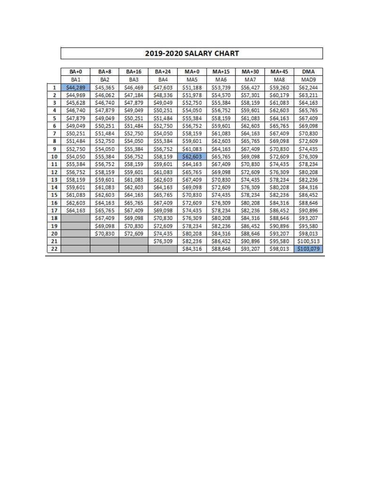#### 2019-2020 SALARY CHART

|                | BA+0     | $BA + 8$        | BA+16    | BA+24    | $MA+0$   | MA+15    | MA+30    | $MA+45$  | <b>DMA</b> |
|----------------|----------|-----------------|----------|----------|----------|----------|----------|----------|------------|
|                | BA1      | BA <sub>2</sub> | BA3      | BA4      | MA5      | MA6      | MA7      | MA8      | MAD9       |
| $\mathbf{1}$   | \$44,289 | \$45,365        | \$46,469 | \$47,603 | \$51,188 | \$53,739 | \$56,427 | \$59,260 | \$62,244   |
| $\overline{2}$ | \$44,969 | \$46,062        | \$47,184 | \$48,336 | \$51,978 | \$54,570 | \$57,301 | \$60,179 | \$63,211   |
| 3              | \$45,628 | \$46,740        | \$47,879 | \$49,049 | \$52,750 | \$55,384 | \$58,159 | \$61,083 | \$64,163   |
| 4              | \$46,740 | \$47,879        | \$49,049 | \$50,251 | \$54,050 | \$56,752 | \$59,601 | \$62,603 | \$65,765   |
| 5              | \$47,879 | \$49,049        | \$50,251 | \$51,484 | \$55,384 | \$58,159 | \$61,083 | \$64,163 | \$67,409   |
| 6              | \$49,049 | \$50,251        | \$51,484 | \$52,750 | \$56,752 | \$59,601 | \$62,603 | \$65,765 | \$69,098   |
| 7              | \$50,251 | \$51,484        | \$52,750 | \$54,050 | \$58,159 | \$61,083 | \$64,163 | \$67,409 | \$70,830   |
| 8              | \$51,484 | \$52,750        | \$54,050 | \$55,384 | \$59,601 | \$62,603 | \$65,765 | \$69,098 | \$72,609   |
| 9              | \$52,750 | \$54,050        | \$55,384 | \$56,752 | \$61,083 | \$64,163 | \$67,409 | \$70,830 | \$74,435   |
| 10             | \$54,050 | \$55,384        | \$56,752 | \$58,159 | \$62,603 | \$65,765 | \$69,098 | \$72,609 | \$76,309   |
| 11             | \$55,384 | \$56,752        | \$58,159 | \$59,601 | \$64,163 | \$67,409 | \$70,830 | \$74,435 | \$78,234   |
| 12             | \$56,752 | \$58,159        | \$59,601 | \$61,083 | \$65,765 | \$69,098 | \$72,609 | \$76,309 | \$80,208   |
| 13             | \$58,159 | \$59,601        | \$61,083 | \$62,603 | \$67,409 | \$70,830 | \$74,435 | \$78,234 | \$82,236   |
| 14             | \$59,601 | \$61,083        | \$62,603 | \$64,163 | \$69,098 | \$72,609 | \$76,309 | \$80,208 | \$84,316   |
| 15             | \$61,083 | \$62,603        | \$64,163 | \$65,765 | \$70,830 | \$74,435 | \$78,234 | \$82,236 | \$86,452   |
| 16             | \$62,603 | \$64,163        | \$65,765 | \$67,409 | \$72,609 | \$76,309 | \$80,208 | \$84,316 | \$88,646   |
| 17             | \$64,163 | \$65,765        | \$67,409 | \$69,098 | \$74,435 | \$78,234 | \$82,236 | \$86,452 | \$90,896   |
| 18             |          | \$67,409        | \$69,098 | \$70,830 | \$76,309 | \$80,208 | \$84,316 | \$88,646 | \$93,207   |
| 19             |          | \$69,098        | \$70,830 | \$72,609 | \$78,234 | \$82,236 | \$86,452 | \$90,896 | \$95,580   |
| 20             |          | \$70,830        | \$72,609 | \$74,435 | \$80,208 | \$84,316 | \$88,646 | \$93,207 | \$98,013   |
| 21             |          |                 |          | \$76,309 | \$82,236 | \$86,452 | \$90,896 | \$95,580 | \$100,513  |
| 22             |          |                 |          |          | \$84,316 | \$88,646 | \$93,207 | \$98,013 | \$103,079  |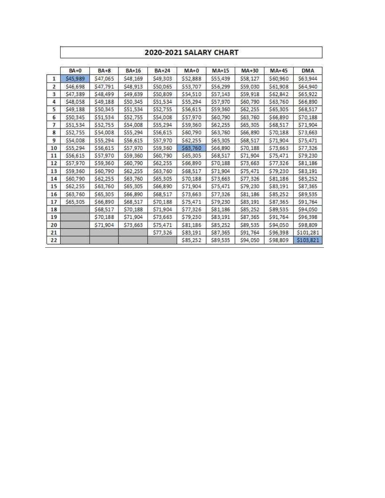#### 2020-2021 SALARY CHART

|              | $BA + 0$ | $BA + 8$ | BA+16    | <b>BA+24</b> | $MA+0$   | $MA+15$  | $MA+30$  | $MA+45$  | <b>DMA</b> |
|--------------|----------|----------|----------|--------------|----------|----------|----------|----------|------------|
| $\mathbf{1}$ | \$45,989 | \$47,065 | \$48,169 | \$49,303     | \$52,888 | \$55,439 | \$58,127 | \$60,960 | \$63,944   |
| 2            | \$46,698 | \$47,791 | \$48,913 | \$50,065     | \$53,707 | \$56,299 | \$59,030 | \$61,908 | \$64,940   |
| 3            | \$47,389 | \$48,499 | \$49,639 | \$50,809     | \$54,510 | \$57,143 | \$59,918 | \$62,842 | \$65,922   |
| 4            | \$48,058 | \$49,188 | \$50,345 | \$51,534     | \$55,294 | \$57,970 | \$60,790 | \$63,760 | \$66,890   |
| 5.           | \$49,188 | \$50,345 | \$51,534 | \$52,755     | \$56,615 | \$59,360 | \$62,255 | \$65,305 | \$68,517   |
| 6            | \$50,345 | \$51,534 | \$52,755 | \$54,008     | \$57,970 | \$60,790 | \$63,760 | \$66,890 | \$70,188   |
| 7            | \$51,534 | \$52,755 | \$54,008 | \$55,294     | \$59,360 | \$62,255 | \$65,305 | \$68,517 | \$71,904   |
| 8            | \$52,755 | \$54,008 | \$55,294 | \$56,615     | \$60,790 | \$63,760 | \$66,890 | \$70,188 | \$73,663   |
| 9            | \$54,008 | \$55,294 | \$56,615 | \$57,970     | \$62,255 | \$65,305 | \$68,517 | \$71,904 | \$75,471   |
| 10           | \$55,294 | \$56,615 | \$57,970 | \$59,360     | \$63,760 | \$66,890 | \$70,188 | \$73,663 | \$77,326   |
| 11           | \$56,615 | \$57,970 | \$59,360 | \$60,790     | \$65,305 | \$68,517 | \$71,904 | \$75,471 | \$79,230   |
| 12           | \$57,970 | \$59,360 | \$60,790 | \$62,255     | \$66,890 | \$70,188 | \$73,663 | \$77,326 | \$81,186   |
| 13           | \$59,360 | \$60,790 | \$62,255 | \$63,760     | \$68,517 | \$71,904 | \$75,471 | \$79,230 | \$83,191   |
| 14           | \$60,790 | \$62,255 | \$63,760 | \$65,305     | \$70,188 | \$73,663 | \$77,326 | \$81,186 | \$85,252   |
| 15           | \$62,255 | \$63,760 | \$65,305 | \$66,890     | \$71,904 | \$75,471 | \$79,230 | \$83,191 | \$87,365   |
| 16           | \$63,760 | \$65,305 | \$66,890 | \$68,517     | \$73,663 | \$77,326 | \$81,186 | \$85,252 | \$89,535   |
| 17           | \$65,305 | \$66,890 | \$68,517 | \$70,188     | \$75,471 | \$79,230 | \$83,191 | \$87,365 | \$91,764   |
| 18           |          | \$68,517 | \$70,188 | \$71,904     | \$77,326 | \$81,186 | \$85,252 | \$89,535 | \$94,050   |
| 19           |          | \$70,188 | \$71,904 | \$73,663     | \$79,230 | \$83,191 | \$87,365 | \$91,764 | \$96,398   |
| 20           |          | \$71,904 | \$73,663 | \$75,471     | \$81,186 | \$85,252 | \$89,535 | \$94,050 | \$98,809   |
| 21           |          |          |          | \$77,326     | \$83,191 | \$87,365 | \$91,764 | \$96,398 | \$101,281  |
| 22           |          |          |          |              | \$85,252 | \$89,535 | \$94,050 | \$98,809 | \$103,821  |